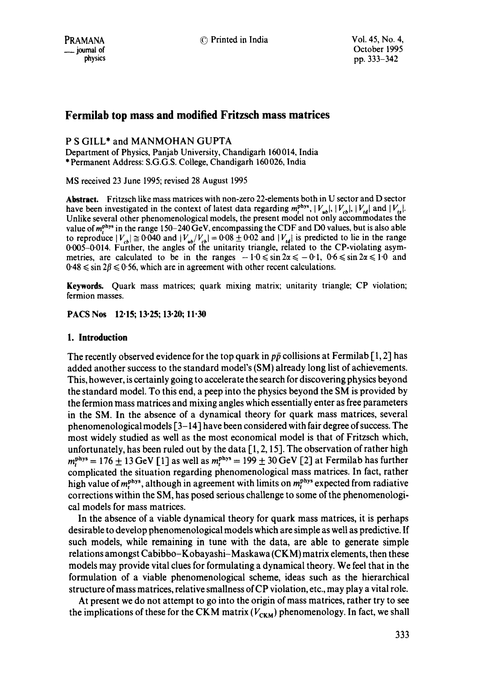© Printed in India Vol. 45, No. 4,

# **Fermilab top mass and modified Fritzsch mass matrices**

## P S GILL\* and MANMOHAN GUPTA

Department of Physics, Panjab University, Chandigarh 160014, India \* Permanent Address: S.G.G.S. College, Chandigarh 160 026, India

MS received 23 June 1995; revised 28 August 1995

**Abstract.** Fritzsch like mass matrices with non-zero 22-elements both in U sector and D sector have been investigated in the context of latest data regarding  $m_r^{phys}$ ,  $|V_{ub}|$ ,  $|V_{cb}|$ ,  $|V_{td}|$  and  $|V_{ts}|$ . Unlike several other phenomenological models, the present model not only accommodates the value of  $m_r^{phys}$  in the range 150–240 GeV, encompassing the CDF and D0 values, but is also able to reproduce  $|V_{ab}| \approx 0.040$  and  $|V_{ab}/V_{cb}| = 0.08 \pm 0.02$  and  $|V_{ad}|$  is predicted to lie in the range 0.005-0.014. Further, the angles of the unitarity triangle, related to the CP-violating asymmetries, are calculated to be in the ranges  $-1.0 \le \sin 2\alpha \le -0.1$ ,  $0.6 \le \sin 2\alpha \le 1.0$  and  $0.48 \le \sin 2\beta \le 0.56$ , which are in agreement with other recent calculations.

**Keywords.** Quark mass matrices; quark mixing matrix; unitarity triangle; CP violation; fermion masses.

**PACSNos 12.15; 13.25; 13.20; 11.30** 

## **1. Introduction**

The recently observed evidence for the top quark in  $p\bar{p}$  collisions at Fermilab [1, 2] has added another success to the standard model's (SM) already long list of achievements. This, however, is certainly going to accelerate the search for discovering physics beyond the standard model. To this end, a peep into the physics beyond the SM is provided by the fermion mass matrices and mixing angles which essentially enter as free parameters in the SM. In the absence of a dynamical theory for quark mass matrices, several phenomenological models  $\lceil 3-14 \rceil$  have been considered with fair degree of success. The most widely studied as well as the most economical model is that of Fritzsch which, unfortunately, has been ruled out by the data  $[1, 2, 15]$ . The observation of rather high  $m<sub>Pbys</sub> = 176 \pm 13$  GeV [1] as well as  $m<sub>Pbys</sub> = 199 \pm 30$  GeV [2] at Fermilab has further complicated the situation regarding phenomenological mass matrices. In fact, rather high value of  $m_r^{phys}$ , although in agreement with limits on  $m_r^{phys}$  expected from radiative corrections within the SM, has posed serious challenge to some of the phenomenological models for mass matrices.

In the absence of a viable dynamical theory for quark mass matrices, it is perhaps desirable to develop phenomenological models which are simple as well as predictive. If such models, while remaining in tune with the data, are able to generate simple relations amongst Cabibbo-Kobayashi-Maskawa (CKM) matrix elements, then these models may provide vital clues for formulating a dynamical theory. We feel that in the formulation of a viable phenomenological scheme, ideas such as the hierarchical structure of mass matrices, relative smallness of CP violation, etc., may play a vital role.

At present we do not attempt to go into the origin of mass matrices, rather try to see the implications of these for the CKM matrix  $(V_{CKM})$  phenomenology. In fact, we shall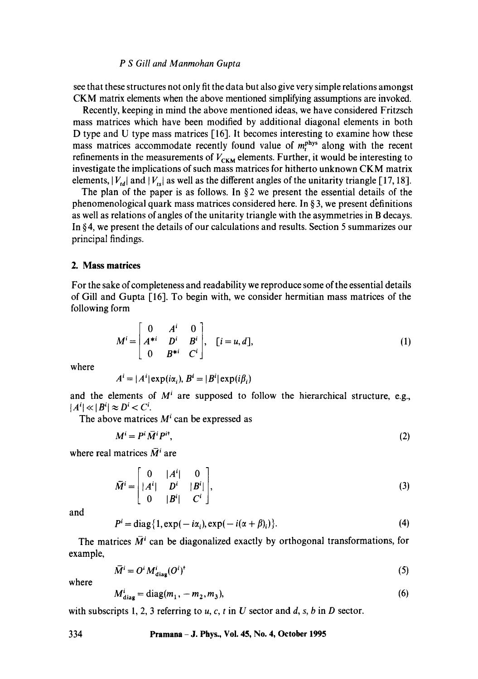## *P S Gill and Manmohan Gupta*

see that these structures not only fit the data but also give very simple relations amongst CKM matrix elements when the above mentioned simplifying assumptions are invoked.

Recently, keeping in mind the above mentioned ideas, we have considered Fritzsch mass matrices which have been modified by additional diagonal elements in both D type and U type mass matrices [16]. It becomes interesting to examine how these mass matrices accommodate recently found value of  $m_r^{phys}$  along with the recent refinements in the measurements of  $V_{CKM}$  elements. Further, it would be interesting to investigate the implications of such mass matrices for hitherto unknown CKM matrix elements,  $|V_{td}|$  and  $|V_{ts}|$  as well as the different angles of the unitarity triangle [17, 18].

The plan of the paper is as follows. In  $\S$ 2 we present the essential details of the phenomenological quark mass matrices considered here. In  $\S$  3, we present definitions as well as relations of angles of the unitarity triangle with the asymmetries in B decays. In § 4, we present the details of our calculations and results. Section 5 summarizes our principal findings.

#### **2. Mass matrices**

For the sake of completeness and readability we reproduce some of the essential details of Gill and Gupta [16]. To begin with, we consider hermitian mass matrices of the following form

$$
M^{i} = \begin{bmatrix} 0 & A^{i} & 0 \\ A^{*i} & D^{i} & B^{i} \\ 0 & B^{*i} & C^{i} \end{bmatrix}, \quad [i = u, d],
$$
 (1)

where

$$
Ai = |Ai| \exp(i\alphai), Bi = |Bi| \exp(i\betai)
$$

and the elements of  $M<sup>i</sup>$  are supposed to follow the hierarchical structure, e.g.,  $|A^i| \ll |B^i| \approx D^i < C^i$ .

The above matrices  $M<sup>i</sup>$  can be expressed as

$$
M^i = P^i \,\overline{M}^i P^{i\dagger},\tag{2}
$$

where real matrices  $\overline{M}$ <sup>*i*</sup> are

$$
\widetilde{M}^i = \begin{bmatrix} 0 & |A^i| & 0 \\ |A^i| & D^i & |B^i| \\ 0 & |B^i| & C^i \end{bmatrix},
$$
\n(3)

and

$$
Pi = diag{1, exp(-i\alpha_i), exp(-i(\alpha + \beta)_i)}.
$$
 (4)

The matrices  $\overline{M}$ <sup>*i*</sup> can be diagonalized exactly by orthogonal transformations, for example,

$$
\overline{M}^i = O^i M_{\text{diag}}^i (O^i)^{\dagger} \tag{5}
$$

where

$$
M_{\text{diag}}^i = \text{diag}(m_1, -m_2, m_3),\tag{6}
$$

with subscripts 1, 2, 3 referring to u, c, t in U sector and d, s, b in D sector.

**334 Pramana - J. Phys., Vol. 45, No. 4, October 1995**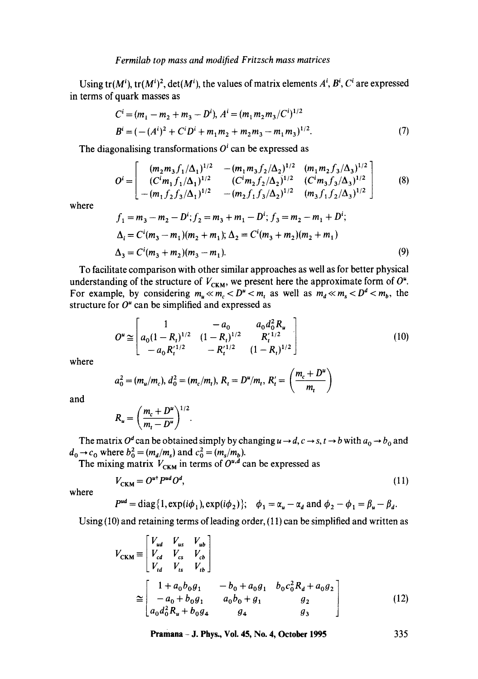Using tr( $M^i$ ), tr( $M^i$ )<sup>2</sup>, det( $M^i$ ), the values of matrix elements  $A^i$ ,  $B^i$ ,  $C^i$  are expressed in terms of quark masses as

$$
C^{i} = (m_{1} - m_{2} + m_{3} - D^{i}), A^{i} = (m_{1}m_{2}m_{3}/C^{i})^{1/2}
$$
  

$$
B^{i} = (-(A^{i})^{2} + C^{i}D^{i} + m_{1}m_{2} + m_{2}m_{3} - m_{1}m_{3})^{1/2}.
$$
 (7)

The diagonalising transformations  $O<sup>i</sup>$  can be expressed as

 $\overline{a}$ 

$$
O^{i} = \begin{bmatrix} (m_2 m_3 f_1/\Delta_1)^{1/2} & -(m_1 m_3 f_2/\Delta_2)^{1/2} & (m_1 m_2 f_3/\Delta_3)^{1/2} \\ (C^{i} m_1 f_1/\Delta_1)^{1/2} & (C^{i} m_2 f_2/\Delta_2)^{1/2} & (C^{i} m_3 f_3/\Delta_3)^{1/2} \\ -(m_1 f_2 f_3/\Delta_1)^{1/2} & -(m_2 f_1 f_3/\Delta_2)^{1/2} & (m_3 f_1 f_2/\Delta_3)^{1/2} \end{bmatrix}
$$
(8)

where

$$
f_1 = m_3 - m_2 - D^i; f_2 = m_3 + m_1 - D^i; f_3 = m_2 - m_1 + D^i;
$$
  
\n
$$
\Delta_i = C^i (m_3 - m_1)(m_2 + m_1); \Delta_2 = C^i (m_3 + m_2)(m_2 + m_1)
$$
  
\n
$$
\Delta_3 = C^i (m_3 + m_2)(m_3 - m_1).
$$
\n(9)

To facilitate comparison with other similar approaches as well as for better physical understanding of the structure of  $V_{CKM}$ , we present here the approximate form of  $O^*$ . For example, by considering  $m_u \ll m_c < D^u < m_t$  as well as  $m_d \ll m_s < D^d < m_b$ , the structure for  $O<sup>u</sup>$  can be simplified and expressed as

$$
O^u \cong \begin{bmatrix} 1 & -a_0 & a_0 d_0^2 R_u \\ a_0 (1 - R_t)^{1/2} & (1 - R_t)^{1/2} & R_t^{1/2} \\ -a_0 R_t'^{1/2} & -R_t'^{1/2} & (1 - R_t)^{1/2} \end{bmatrix}
$$
(10)

where

$$
a_0^2 = (m_u/m_c), d_0^2 = (m_c/m_t), R_t = D^u/m_t, R'_t = \left(\frac{m_c + D^u}{m_t}\right)
$$

and

$$
R_u = \left(\frac{m_c + D^u}{m_t - D^u}\right)^{1/2}.
$$

The matrix  $O^d$  can be obtained simply by changing  $u \to d$ ,  $c \to s$ ,  $t \to b$  with  $a_0 \to b_0$  and  $d_0 \rightarrow c_0$  where  $b_0^2 = (m_d/m_s)$  and  $c_0^2 = (m_s/m_b)$ .

The mixing matrix  $V_{CKM}$  in terms of  $O^{u,a}$  can be expressed as

$$
V_{\text{CKM}} = O^{ut} P^{ud} O^d, \tag{11}
$$

where

$$
P^{ud} = \text{diag}\{1, \exp(i\phi_1), \exp(i\phi_2)\}; \quad \phi_1 = \alpha_u - \alpha_d \text{ and } \phi_2 - \phi_1 = \beta_u - \beta_d.
$$

Using (10) and retaining terms of leading order, (11) can be simplified and written as

$$
V_{\text{CKM}} \equiv \begin{bmatrix} V_{ud} & V_{us} & V_{ub} \\ V_{cd} & V_{cs} & V_{cb} \\ V_{td} & V_{ts} & V_{tb} \end{bmatrix}
$$
  
\n
$$
\approx \begin{bmatrix} 1 + a_0 b_0 g_1 & -b_0 + a_0 g_1 & b_0 c_0^2 R_d + a_0 g_2 \\ -a_0 + b_0 g_1 & a_0 b_0 + g_1 & g_2 \\ a_0 d_0^2 R_u + b_0 g_4 & g_4 & g_3 \end{bmatrix}
$$
 (12)

**Pramana - J. Phys., Vol. 45, No. 4, October 1995 335**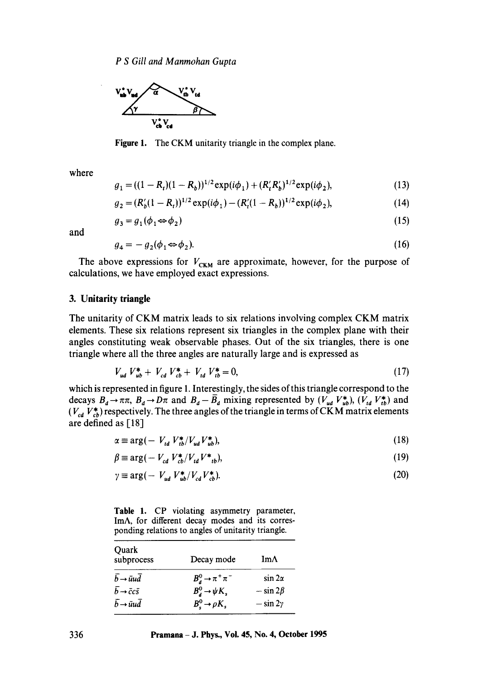

Figure 1. The CKM unitarity triangle in the complex plane.

where

$$
g_1 = ((1 - R_t)(1 - R_b))^{1/2} \exp(i\phi_1) + (R'_t R'_b)^{1/2} \exp(i\phi_2),
$$
\n(13)

$$
g_2 = (R'_b(1 - R_t))^{1/2} \exp(i\phi_1) - (R'_t(1 - R_b))^{1/2} \exp(i\phi_2),
$$
\n(14)

$$
g_3 = g_1(\phi_1 \Leftrightarrow \phi_2) \tag{15}
$$

and

$$
g_4 = -g_2(\phi_1 \Leftrightarrow \phi_2). \tag{16}
$$

The above expressions for  $V_{CKM}$  are approximate, however, for the purpose of calculations, we have employed exact expressions.

## **3. Unitarity triangle**

The unitarity of CKM matrix leads to six relations involving complex CKM matrix elements. These six relations represent six triangles in the complex plane with their angles constituting weak observable phases. Out of the six triangles, there is one triangle where all the three angles are naturally large and is expressed as

$$
V_{ud} V_{ub}^* + V_{cd} V_{cb}^* + V_{td} V_{tb}^* = 0,
$$
\n(17)

which is represented in figure 1. Interestingly, the sides of this triangle correspond to the decays  $B_d \to \pi \pi$ ,  $B_d \to D\pi$  and  $B_d - \bar{B}_d$  mixing represented by  $(V_{ud} V_{ub}^*)$ ,  $(V_{td} V_{tb}^*)$  and  $(V_{cd} V_{cb}^*)$  respectively. The three angles of the triangle in terms of CKM matrix elements are defined as [18]

$$
\alpha \equiv \arg(-V_{td} V_{tb}^* / V_{ud} V_{ub}^*),\tag{18}
$$

$$
\beta \equiv \arg\left(-V_{cd}V_{cb}^*/V_{td}V_{tb}^*\right),\tag{19}
$$

$$
\gamma \equiv \arg\left(-\ V_{ud} \ V_{ub}^{\ast}/V_{cd} \ V_{cb}^{\ast}\right). \tag{20}
$$

Table 1. CP violating asymmetry parameter, ImA, for different decay modes and its corresponding relations to angles of unitarity triangle.

| Ouark<br>subprocess                           | Decay mode                      | $Im\Lambda$    |
|-----------------------------------------------|---------------------------------|----------------|
| $\bar{b} \rightarrow \bar{u} \bar{u} \bar{d}$ | $B_d^0 \rightarrow \pi^+ \pi^-$ | $\sin 2\alpha$ |
| $\bar{b} \rightarrow \bar{c} c \bar{s}$       | $B^0_d \rightarrow \psi K_s$    | $-\sin 2\beta$ |
| $\bar{b} \rightarrow \bar{u} u \bar{d}$       | $B^0$ $\rightarrow \rho K_s$    | $-\sin 2y$     |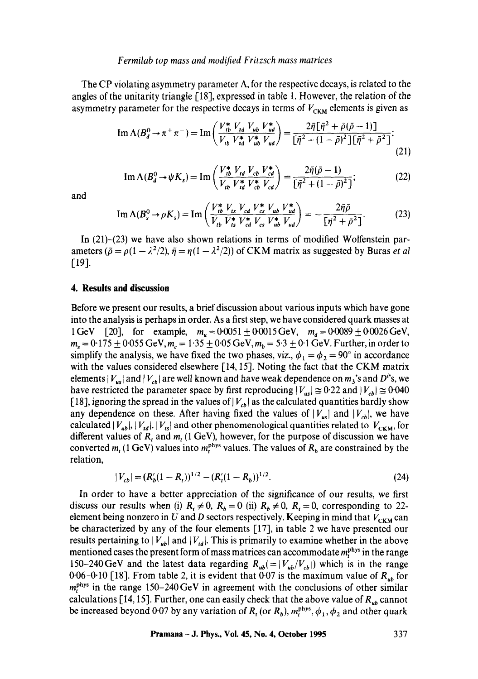### *Fermilab top mass and modified Fritzsch mass matrices*

The CP violating asymmetry parameter  $\Lambda$ , for the respective decays, is related to the angles of the unitarity triangle  $\lceil 18 \rceil$ , expressed in table 1. However, the relation of the asymmetry parameter for the respective decays in terms of  $V_{CKM}$  elements is given as

Im 
$$
\Lambda(B_d^0 \to \pi^+ \pi^-)
$$
 = Im  $\left( \frac{V_{tb}^* V_{td} V_{ub} V_{ub}^*}{V_{tb} V_{td}^* V_{ub}^* V_{ud}} \right) = \frac{2 \bar{\eta} [\bar{\eta}^2 + \bar{\rho} (\bar{\rho} - 1)]}{[\bar{\eta}^2 + (1 - \bar{\rho})^2] [\bar{\eta}^2 + \bar{\rho}^2]}$ ;  
(21)

Im 
$$
\Lambda(B_d^0 \to \psi K_s)
$$
 = Im  $\left( \frac{V_{tb}^* V_{td} V_{td} V_{cd}^*}{V_{td} V_{td}^* V_{cb}^* V_{cd}} \right) = \frac{2\bar{\eta}(\bar{\rho} - 1)}{[\bar{\eta}^2 + (1 - \bar{\rho})^2]}$ ; (22)

and

Im 
$$
\Lambda(B_s^0 \to \rho K_s)
$$
 = Im  $\left( \frac{V_{tb}^* V_{ts} V_{cd} V_{cs}^* V_{ub} V_{ud}^*}{V_{tb} V_{ts}^* V_{cd}^* V_{cs} V_{ub}^* V_{ud}} \right) = -\frac{2\bar{\eta}\bar{\rho}}{[\bar{\eta}^2 + \bar{\rho}^2]}.$  (23)

In (21)-(23) we have also shown relations in terms of modified Wolfenstein parameters ( $\tilde{\rho} = \rho(1 - \lambda^2/2)$ ,  $\tilde{\eta} = \eta(1 - \lambda^2/2)$ ) of CKM matrix as suggested by Buras *et al*  $[19]$ .

### **4. Results and discussion**

Before we present our results, a brief discussion about various inputs which have gone into the analysis is perhaps in order. As a first step, we have considered quark masses at 1 GeV [20], for example,  $m_u = 0.0051 \pm 0.0015$  GeV,  $m_d = 0.0089 \pm 0.0026$  GeV,  $m_s = 0.175 \pm 0.055$  GeV,  $m_c = 1.35 \pm 0.05$  GeV,  $m_b = 5.3 \pm 0.1$  GeV. Further, in order to simplify the analysis, we have fixed the two phases, viz.,  $\phi_1 = \phi_2 = 90^\circ$  in accordance with the values considered elsewhere [14, 15]. Noting the fact that the CKM matrix elements  $|V_{us}|$  and  $|V_{cb}|$  are well known and have weak dependence on  $m_3$ 's and  $D^{i}$ 's, we have restricted the parameter space by first reproducing  $|V_{us}| \approx 0.22$  and  $|V_{cb}| \approx 0.040$ [18], ignoring the spread in the values of  $|V_{cb}|$  as the calculated quantities hardly show any dependence on these. After having fixed the values of  $|V_{us}|$  and  $|V_{cb}|$ , we have calculated  $|V_{ub}|, |V_{td}|, |V_{ts}|$  and other phenomenological quantities related to  $V_{CKM}$ , for different values of  $R_t$ , and  $m_t$  (1 GeV), however, for the purpose of discussion we have converted  $m_t$  (1 GeV) values into  $m_t^{phys}$  values. The values of  $R_b$  are constrained by the relation,

$$
|V_{cb}| = (R_b'(1 - R_t))^{1/2} - (R_i'(1 - R_b))^{1/2}.
$$
\n(24)

In order to have a better appreciation of the significance of our results, we first discuss our results when (i)  $R_t \neq 0$ ,  $R_b = 0$  (ii)  $R_b \neq 0$ ,  $R_t = 0$ , corresponding to 22element being nonzero in U and D sectors respectively. Keeping in mind that  $V_{CKM}$  can be characterized by any of the four elements [1T], in table 2 we have presented our results pertaining to  $|V_{ub}|$  and  $|V_{td}|$ . This is primarily to examine whether in the above mentioned cases the present form of mass matrices can accommodate  $m<sub>r</sub><sup>phys</sup>$  in the range 150-240 GeV and the latest data regarding  $R_{ub} = |V_{ub}/V_{cb}|$  which is in the range 0.06-0.10 [18]. From table 2, it is evident that 0.07 is the maximum value of  $R_{ub}$  for  $m_t^{\text{phys}}$  in the range 150-240 GeV in agreement with the conclusions of other similar calculations [14, 15]. Further, one can easily check that the above value of  $R_{ub}$  cannot be increased beyond 0.07 by any variation of  $R_t$  (or  $R_b$ ),  $m_t^{phys}$ ,  $\phi_1$ ,  $\phi_2$  and other quark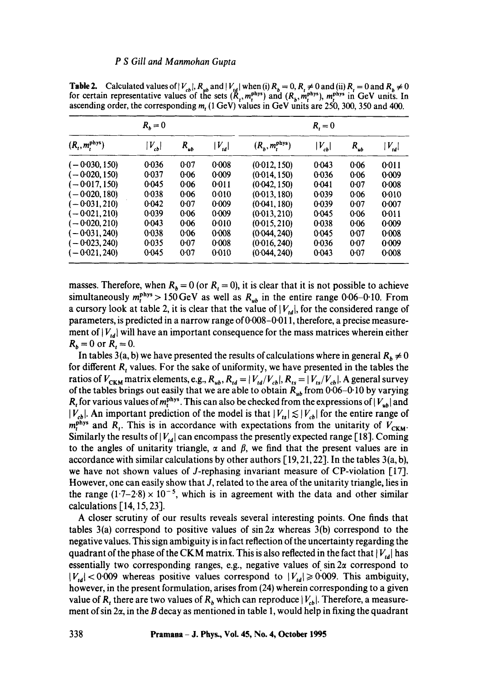|                            | $R_h = 0$ |          |            |                            | $R_i = 0$  |          |            |
|----------------------------|-----------|----------|------------|----------------------------|------------|----------|------------|
| $(R_t, m_t^{\text{phys}})$ | $V_{cb}$  | $R_{ub}$ | $ V_{td} $ | $(R_b, m_t^{\text{phys}})$ | $ V_{cb} $ | $R_{ub}$ | $ V_{td} $ |
| $(-0.030, 150)$            | 0.036     | 0.07     | 0.008      | (0.012, 150)               | 0.043      | 0.06     | 0:011      |
| $(-0.020, 150)$            | 0.037     | 0.06     | 0.009      | (0.014, 150)               | 0.036      | 0.06     | 0.009      |
| $(-0.017, 150)$            | 0.045     | 0.06     | 0:011      | (0.042, 150)               | 0.041      | 0.07     | 0.008      |
| ( — 0·020, 180)            | 0.038     | 0.06     | 0:010      | (0.013, 180)               | 0.039      | 0.06     | 0.010      |
| $(-0.031, 210)$            | 0.042     | 0.07     | 0.009      | (0.041, 180)               | 0.039      | 0.07     | 0:007      |
| $(-0.021, 210)$            | 0.039     | 0.06     | 0.009      | (0.013, 210)               | 0.045      | 0.06     | 0:011      |
| $(-0.020, 210)$            | 0.043     | 0.06     | 0:010      | (0.015, 210)               | 0.038      | 0.06     | 0.009      |
| $(-0.031, 240)$            | 0.038     | $0 - 06$ | 0.008      | (0.044, 240)               | 0.045      | 0.07     | 0.008      |
| $(-0.023, 240)$            | 0.035     | 0.07     | 0.008      | (0.016, 240)               | 0.036      | 0.07     | 0.009      |
| $(-0.021, 240)$            | 0.045     | 0.07     | 0.010      | (0.044, 240)               | 0.043      | 0.07     | 0.008      |

**Table 2.** Calculated values of  $|V_{cb}|$ ,  $R_{ub}$  and  $|V_{td}|$  when (i)  $R_b = 0$ ,  $R_t \neq 0$  and (ii)  $R_t = 0$  and  $R_b \neq 0$ for certain representative values of the sets  $(R_1, m_1^{phys})$  and  $(R_1, m_1^{phys})$ ,  $m_1^{phys}$  in GeV units. In ascending order, the corresponding m, (1 GeV) values in GeV units are 250, 300, 350 and 400.

masses. Therefore, when  $R_b = 0$  (or  $R_t = 0$ ), it is clear that it is not possible to achieve simultaneously  $m_t^{phys} > 150 \,\text{GeV}$  as well as  $R_{ub}$  in the entire range 0.06-0.10. From a cursory look at table 2, it is clear that the value of  $|V_{id}|$ , for the considered range of parameters, is predicted in a narrow range of 0.008-0.011, therefore, a precise measurement of  $|V_{ld}|$  will have an important consequence for the mass matrices wherein either  $R_b = 0$  or  $R_t = 0$ .

In tables 3(a, b) we have presented the results of calculations where in general  $R_b \neq 0$ for different  $R_t$ , values. For the sake of uniformity, we have presented in the tables the ratios of  $V_{CKM}$  matrix elements, e.g.,  $R_{ub}$ ,  $R_{td} = |V_{td}/V_{cb}|$ ,  $R_{ts} = |V_{ts}/V_{cb}|$ . A general survey of the tables brings out easily that we are able to obtain *Rub* from 0"06-0"10 by varying  $R_t$  for various values of  $m_t^{phys}$ . This can also be checked from the expressions of  $|V_{ub}|$  and  $|V_{cb}|$ . An important prediction of the model is that  $|V_{ts}| \lesssim |V_{cb}|$  for the entire range of  $m_t^{phys}$  and  $R_t$ . This is in accordance with expectations from the unitarity of  $V_{CKM}$ . Similarly the results of  $|V_{td}|$  can encompass the presently expected range [18]. Coming to the angles of unitarity triangle,  $\alpha$  and  $\beta$ , we find that the present values are in accordance with similar calculations by other authors  $[19, 21, 22]$ . In the tables  $3(a, b)$ , we have not shown values of J-rephasing invariant measure of CP-violation [17]. However, one can easily show that J, related to the area of the unitarity triangle, lies in the range  $(1.7-2.8) \times 10^{-5}$ , which is in agreement with the data and other similar calculations [14, 15, 23].

A closer scrutiny of our results reveals several interesting points. One finds that tables 3(a) correspond to positive values of  $\sin 2\alpha$  whereas 3(b) correspond to the negative values. This sign ambiguity is in fact reflection of the uncertainty regarding the quadrant of the phase of the CKM matrix. This is also reflected in the fact that  $|V_{td}|$  has essentially two corresponding ranges, e.g., negative values of  $\sin 2\alpha$  correspond to  $|V_{td}|$  < 0.009 whereas positive values correspond to  $|V_{td}| \ge 0.009$ . This ambiguity, however, in the present formulation, arises from (24) wherein corresponding to a given value of R<sub>t</sub> there are two values of R<sub>b</sub> which can reproduce  $|V_{cb}|$ . Therefore, a measurement of sin  $2\alpha$ , in the B decay as mentioned in table 1, would help in fixing the quadrant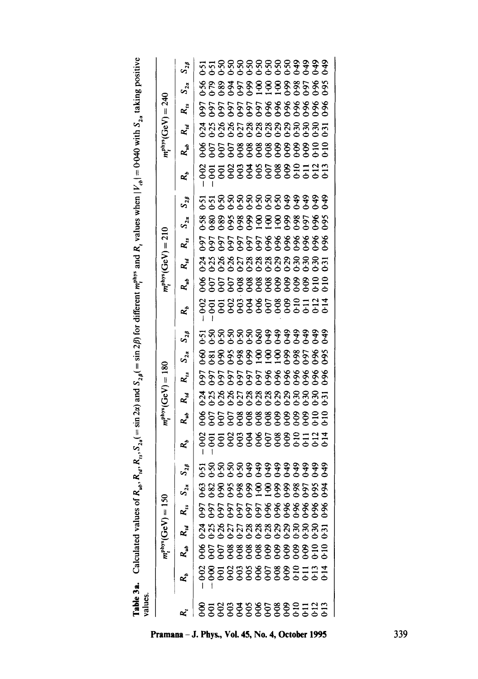| $\mathbf{r}$                                                                                   |  |
|------------------------------------------------------------------------------------------------|--|
| j                                                                                              |  |
|                                                                                                |  |
|                                                                                                |  |
|                                                                                                |  |
|                                                                                                |  |
| $\overline{B}$ $\overline{B}$ $\overline{B}$<br>ì                                              |  |
|                                                                                                |  |
|                                                                                                |  |
|                                                                                                |  |
|                                                                                                |  |
|                                                                                                |  |
|                                                                                                |  |
| Ī                                                                                              |  |
| I                                                                                              |  |
|                                                                                                |  |
|                                                                                                |  |
|                                                                                                |  |
|                                                                                                |  |
|                                                                                                |  |
| $\overline{a}$                                                                                 |  |
| ֧֧ׅ֧֧ׅ֧ׅ֧ׅ֧֧ׅ֧֧ׅ֧֧ׅ֧֦֧֧ׅ֧֦֧֚֚֚֚֚֚֚֚֚֚֚֚֚֚֚֚֚֚֚֚֚֚֚֚֚֚֚֚֚֬֝֡֡֓֡֓֝֬֜֓֜֓֜֓֜֓֜֓֜֝֬֜<br>í<br>ľ<br>ï |  |
| ì<br>ľ<br>j                                                                                    |  |
| ć                                                                                              |  |
| í<br>Í<br>i                                                                                    |  |
| ۱                                                                                              |  |
| ť<br>i<br>j                                                                                    |  |
| ł<br>ĺ                                                                                         |  |
| G                                                                                              |  |
| ١                                                                                              |  |
|                                                                                                |  |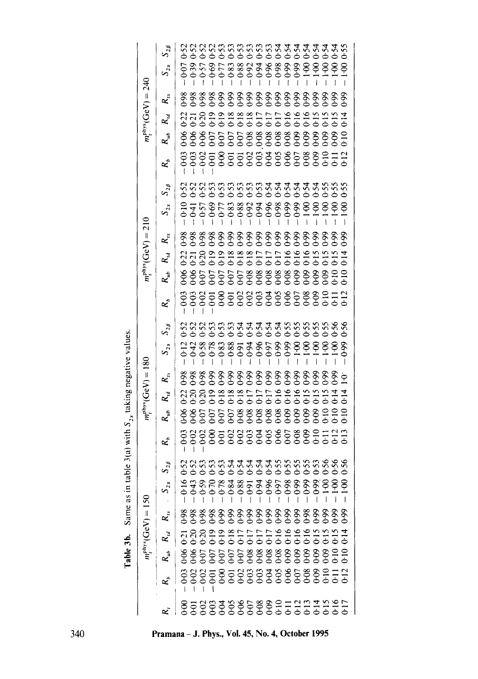Table 3b. Same as in table 3(a) with *S*<sub>2</sub>, taking negative values. Table 3b. Same as in table 3(a) with  $S_{2x}$  taking negative values.

|                      |                   |                                  | $m_t^{\text{phys}}(GeV) = 150$ |          |                   |                        | $m_t^{\text{phys}}(GeV) =$ | .180                                      |          |                                      |                   |                                      | $m_t^{\text{phys}}(GeV)$ | $\parallel$        | $\frac{1}{2}$ |              |                |                                                                             | $m_t^{\text{phys}}(GeV) =$ |                   | 240      |              |
|----------------------|-------------------|----------------------------------|--------------------------------|----------|-------------------|------------------------|----------------------------|-------------------------------------------|----------|--------------------------------------|-------------------|--------------------------------------|--------------------------|--------------------|---------------|--------------|----------------|-----------------------------------------------------------------------------|----------------------------|-------------------|----------|--------------|
|                      |                   | $x^3$   \$8555555588888888888855 | $R_{\rm is}$                   | $S_{2x}$ | $\mathbf{x}^2$    | R.                     | $R_{\cal U}$               | $R_{\rm a}$                               | $S_{23}$ | $S_{2\beta}$                         | R,                | $\mathcal{R}_{sb}$                   | $R_{id}$                 | $R_{is}$           | $S_{2z}$      | $S_{2\beta}$ | $\mathbf{R}_p$ | $R_{ub}$                                                                    | $R_{id}$                   | $\mathbf{R}_{is}$ | $S_{2x}$ | $S_{2\beta}$ |
|                      | 38858588588588888 |                                  |                                |          |                   |                        |                            |                                           |          |                                      |                   |                                      |                          |                    |               |              |                |                                                                             |                            |                   |          |              |
|                      |                   |                                  |                                |          |                   |                        |                            |                                           |          |                                      |                   |                                      |                          |                    |               |              |                |                                                                             |                            |                   |          |              |
|                      |                   |                                  |                                |          |                   |                        |                            |                                           |          |                                      |                   |                                      |                          |                    |               |              |                |                                                                             |                            |                   |          |              |
|                      |                   |                                  |                                |          |                   |                        |                            |                                           |          |                                      |                   |                                      |                          |                    |               |              |                |                                                                             |                            |                   |          |              |
|                      |                   |                                  |                                |          |                   |                        |                            |                                           |          |                                      |                   |                                      |                          |                    |               |              |                |                                                                             |                            |                   |          |              |
|                      |                   |                                  |                                |          |                   |                        |                            |                                           |          |                                      |                   |                                      |                          |                    |               |              |                |                                                                             |                            |                   |          |              |
|                      |                   |                                  |                                |          |                   |                        |                            |                                           |          |                                      |                   |                                      |                          |                    |               |              |                |                                                                             |                            |                   |          |              |
|                      |                   |                                  |                                |          | 88888888888888778 | \$\$555588888888888799 |                            | 8888568686868868686<br>666666666666666666 |          | 8888888888888888<br>8888888888888888 | 88888888888888772 | \$\$\$\$\$\$\$\$\$\$\$\$\$\$\$\$\$\$ |                          | ****************** |               |              |                | \$\$\$\$\$\$\$\$\$\$\$\$\$\$\$\$\$\$.<br>\$\$\$\$\$\$\$\$\$\$\$\$\$\$\$\$\$ | 212233333555555555555      |                   |          |              |
|                      |                   |                                  |                                |          |                   |                        |                            |                                           |          |                                      |                   |                                      |                          |                    |               |              |                |                                                                             |                            |                   |          |              |
|                      |                   |                                  |                                |          |                   |                        |                            |                                           |          |                                      |                   |                                      |                          |                    |               |              |                |                                                                             |                            |                   |          |              |
|                      |                   |                                  |                                |          |                   |                        |                            |                                           |          |                                      |                   |                                      |                          |                    |               |              |                |                                                                             |                            |                   |          |              |
|                      |                   |                                  |                                |          |                   |                        |                            |                                           |          |                                      |                   |                                      |                          |                    |               |              |                |                                                                             |                            |                   |          |              |
|                      |                   |                                  |                                |          |                   |                        |                            |                                           |          |                                      |                   |                                      |                          |                    |               |              |                |                                                                             |                            |                   |          |              |
|                      |                   |                                  |                                |          |                   |                        |                            |                                           |          |                                      |                   |                                      |                          |                    |               |              |                |                                                                             |                            |                   |          |              |
|                      |                   |                                  |                                |          |                   |                        |                            |                                           |          |                                      |                   |                                      |                          |                    |               |              |                |                                                                             |                            |                   |          |              |
|                      |                   |                                  |                                |          |                   |                        |                            |                                           |          |                                      |                   |                                      |                          |                    |               |              |                |                                                                             |                            |                   |          |              |
|                      |                   |                                  |                                |          |                   |                        |                            |                                           |          |                                      |                   |                                      |                          |                    |               |              |                |                                                                             |                            |                   |          |              |
| 85888886888951955555 |                   |                                  |                                |          |                   |                        |                            |                                           |          |                                      |                   |                                      |                          |                    |               |              |                |                                                                             |                            |                   |          |              |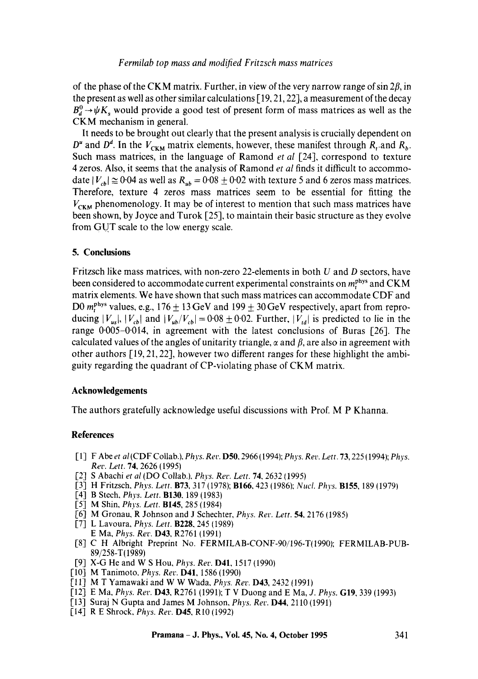of the phase of the CKM matrix. Further, in view of the very narrow range of  $\sin 2\beta$ , in the present as well as other similar calculations [ 19, 21, 22], a measurement of the decay  $B_d^0 \rightarrow \psi K_s$  would provide a good test of present form of mass matrices as well as the CKM mechanism in general.

It needs to be brought out clearly that the present analysis is crucially dependent on  $D^u$  and  $D^d$ . In the  $V_{CKM}$  matrix elements, however, these manifest through  $R_t$  and  $R_b$ . Such mass matrices, in the language of Ramond *et al* [24], correspond to texture 4 zeros. Also, it seems that the analysis of Ramond *et al* finds it difficult to accommodate  $|V_{cb}| \approx 0.04$  as well as  $R_{ub} = 0.08 \pm 0.02$  with texture 5 and 6 zeros mass matrices. Therefore, texture 4 zeros mass matrices seem to be essential for fitting the  $V_{CKM}$  phenomenology. It may be of interest to mention that such mass matrices have been shown, by Joyce and Turok [25], to maintain their basic structure as they evolve from GUT scale to the low energy scale.

## **5. Conclusions**

Fritzsch like mass matrices, with non-zero 22-elements in both  $U$  and  $D$  sectors, have been considered to accommodate current experimental constraints on  $m_t^{\text{phys}}$  and CKM matrix elements. We have shown that such mass matrices can accommodate CDF and D0  $m_t^{phys}$  values, e.g., 176  $\pm$  13 GeV and 199  $\pm$  30 GeV respectively, apart from reproducing  $|V_{us}|$ ,  $|V_{cb}|$  and  $|V_{ub}/V_{cb}|$  = 0.08  $\pm$  0.02. Further,  $|V_{td}|$  is predicted to lie in the range  $0.005-0.014$ , in agreement with the latest conclusions of Buras [26]. The calculated values of the angles of unitarity triangle,  $\alpha$  and  $\beta$ , are also in agreement with other authors [19, 21, 22], however two different ranges for these highlight the ambiguity regarding the quadrant of CP-violating phase of CKM matrix.

### **Acknowledgements**

The authors gratefully acknowledge useful discussions with Prof. M P Khanna.

## **References**

- [ 1] F Abe *et al* (CDF Collab.), *Phys. Rev.* D50, 2966 (1994); *Phys. Rev. Lett.* 73, 225 ( 1994); *Phys. Rev. Lett.* 74, 2626 (1995)
- [2] S Abachi *et al* (DO Collab.), *Phys. Rev. Lett. 74,* 2632 (1995)
- [3] H Fritzsch, *Phys. Lett.* **B73**, 317 (1978); **B166**, 423 (1986); *Nucl. Phys.* **B155**, 189 (1979)
- [4] B Stech, *Phys. Lett.* B130, 189 (1983)
- [5] M Shin, *Phys. Lett.* 8145, 285 (1984)
- [6] M Gronau, R Johnson and J Schechter, *Phys. Rev. Lett.* 54, 2176 (1985)
- [7] L Lavoura, *Phys. Lett.* B228, 245 (1989) E Ma, *Phys. Rev.* D43, R2761 (1991)
- [8] C H Albright Preprint No. FERMILAB-CONF-90/196-T(1990); FERMILAB-PUB-89/258-T(1989)
- [9] X-G He and W S Hou, *Phys. Rev.* D41, 1517 (1990)
- [10] M Tanimoto, *Phys. Rev.* D41, 1586 (1990)
- [11] M T Yamawaki and W W W~ada, *Phys. Rev.* D43, 2432 (1991)
- [12] E Ma, *Phys. Rev.* D43, R2761 (1991); T V Duong and E Ma, *J. Phys.* G19, 339 (1993)
- [13] Suraj N Gupta and James M Johnson, *Phys. Rev.* D44, 2110 (1991)
- [14] R E Shrock, *Phys. Rev.* D45, RI0 (1992)